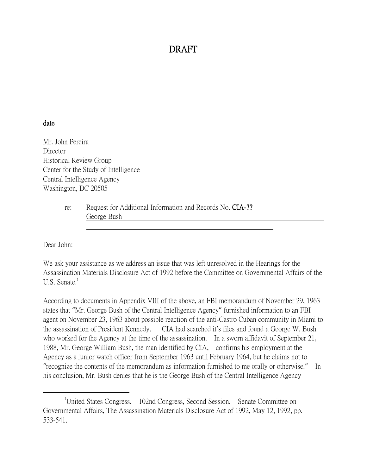## DRAFT

## date

Mr. John Pereira **Director** Historical Review Group Center for the Study of Intelligence Central Intelligence Agency Washington, DC 20505

> re: Request for Additional Information and Records No. CIA-?? George Bush

Dear John:

 $\overline{a}$ 

We ask your assistance as we address an issue that was left unresolved in the Hearings for the Assassination Materials Disclosure Act of 1992 before the Committee on Governmental Affairs of the U.S. Senate. $<sup>1</sup>$ </sup>

According to documents in Appendix VIII of the above, an FBI memorandum of November 29, 1963 states that "Mr. George Bush of the Central Intelligence Agency" furnished information to an FBI agent on November 23, 1963 about possible reaction of the anti-Castro Cuban community in Miami to the assassination of President Kennedy. CIA had searched it's files and found a George W. Bush who worked for the Agency at the time of the assassination. In a sworn affidavit of September 21, 1988, Mr. George William Bush, the man identified by CIA, confirms his employment at the Agency as a junior watch officer from September 1963 until February 1964, but he claims not to "recognize the contents of the memorandum as information furnished to me orally or otherwise." In his conclusion, Mr. Bush denies that he is the George Bush of the Central Intelligence Agency

<sup>&</sup>lt;sup>1</sup>United States Congress. 102nd Congress, Second Session. Senate Committee on Governmental Affairs, The Assassination Materials Disclosure Act of 1992, May 12, 1992, pp. 533-541.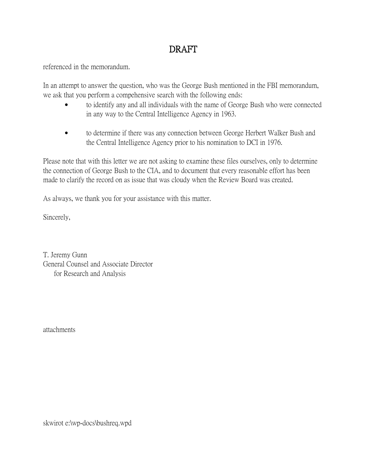## DRAFT

referenced in the memorandum.

In an attempt to answer the question, who was the George Bush mentioned in the FBI memorandum, we ask that you perform a compehensive search with the following ends:

- to identify any and all individuals with the name of George Bush who were connected in any way to the Central Intelligence Agency in 1963.
- to determine if there was any connection between George Herbert Walker Bush and the Central Intelligence Agency prior to his nomination to DCI in 1976.

Please note that with this letter we are not asking to examine these files ourselves, only to determine the connection of George Bush to the CIA, and to document that every reasonable effort has been made to clarify the record on as issue that was cloudy when the Review Board was created.

As always, we thank you for your assistance with this matter.

Sincerely,

T. Jeremy Gunn General Counsel and Associate Director for Research and Analysis

attachments

skwirot e:\wp-docs\bushreq.wpd